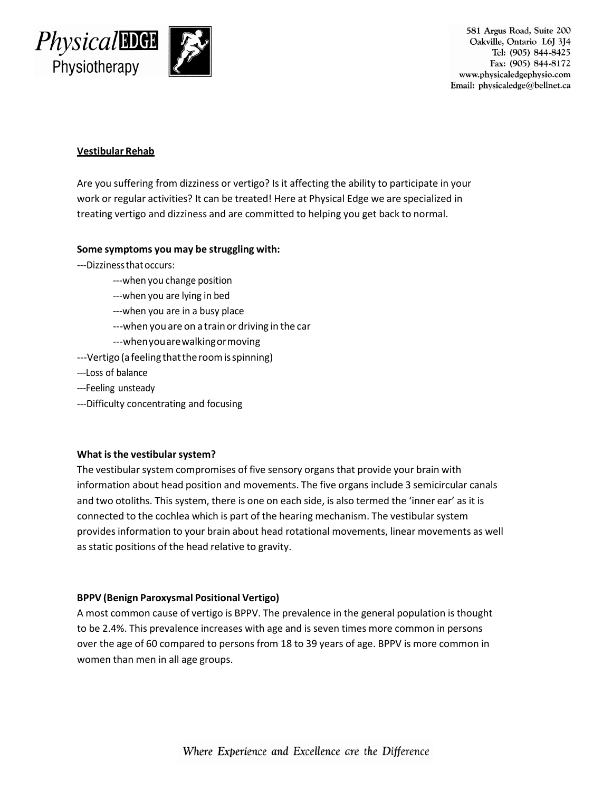

581 Argus Road, Suite 200 Oakville, Ontario L6J 3J4 Tel: (905) 844-8425 Fax: (905) 844-8172 www.physicaledgephysio.com Email: physicaledge@bellnet.ca

# **Vestibular Rehab**

Are you suffering from dizziness or vertigo? Is it affecting the ability to participate in your work or regular activities? It can be treated! Here at Physical Edge we are specialized in treating vertigo and dizziness and are committed to helping you get back to normal.

## **Some symptoms you may be struggling with:**

- ---Dizzinessthatoccurs:
	- ---when you change position
	- ---when you are lying in bed
	- ---when you are in a busy place
	- ---when you are on a train or driving in the car
	- ---whenyouarewalkingormoving
- ---Vertigo (a feeling that the room is spinning)
- ---Loss of balance
- ---Feeling unsteady
- ---Difficulty concentrating and focusing

#### **What isthe vestibularsystem?**

The vestibular system compromises of five sensory organs that provide your brain with information about head position and movements. The five organs include 3 semicircular canals and two otoliths. This system, there is one on each side, is also termed the 'inner ear' as it is connected to the cochlea which is part of the hearing mechanism. The vestibular system provides information to your brain about head rotational movements, linear movements as well as static positions of the head relative to gravity.

#### **BPPV (Benign Paroxysmal Positional Vertigo)**

A most common cause of vertigo is BPPV. The prevalence in the general population is thought to be 2.4%. This prevalence increases with age and is seven times more common in persons over the age of 60 compared to persons from 18 to 39 years of age. BPPV is more common in women than men in all age groups.